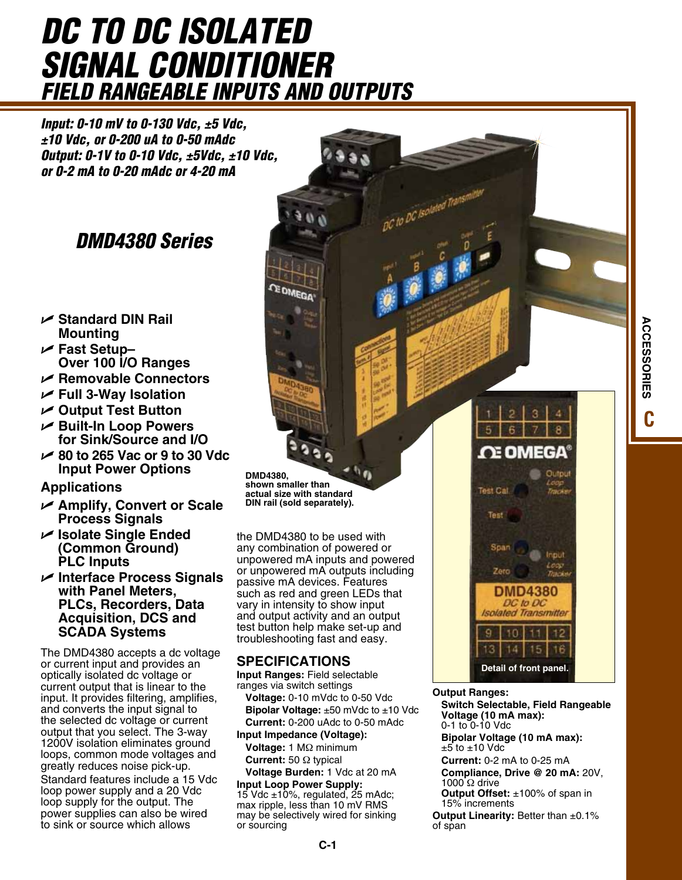# *DC to DC Isolated Signal Conditioner Field Rangeable Inputs and Outputs*

*Input: 0-10 mV to 0-130 Vdc, ±5 Vdc, ±10 Vdc, or 0-200 uA to 0-50 mAdc Output: 0-1V to 0-10 Vdc, ±5Vdc, ±10 Vdc, or 0-2 mA to 0-20 mAdc or 4-20 mA*

# *DMD4380 Series*

- U **Standard DIN Rail Mounting**
- U **Fast Setup– Over 100 I/O Ranges**
- U **Removable Connectors**
- U **Full 3-Way Isolation**
- U **Output Test Button**
- U **Built-In Loop Powers for Sink/Source and I/O**
- U **80 to 265 Vac or 9 to 30 Vdc Input Power Options**

**Applications**

- U **Amplify, Convert or Scale Process Signals**
- U **Isolate Single Ended (Common Ground) PLC Inputs**
- U **Interface Process Signals with Panel Meters, PLCs, Recorders, Data Acquisition, DCS and SCADA Systems**

The DMD4380 accepts a dc voltage or current input and provides an optically isolated dc voltage or current output that is linear to the input. It provides filtering, amplifies, and converts the input signal to the selected dc voltage or current output that you select. The 3-way 1200V isolation eliminates ground loops, common mode voltages and greatly reduces noise pick-up. Standard features include a 15 Vdc loop power supply and a 20 Vdc loop supply for the output. The power supplies can also be wired to sink or source which allows

**DMD4380, shown smaller than actual size with standard DIN rail (sold separately).**

the DMD4380 to be used with any combination of powered or unpowered mA inputs and powered or unpowered mA outputs including passive mA devices. Features such as red and green LEDs that vary in intensity to show input and output activity and an output test button help make set-up and troubleshooting fast and easy.

# **SPECIFICATIONS**

**Input Ranges:** Field selectable ranges via switch settings **Voltage:** 0-10 mVdc to 0-50 Vdc **Bipolar Voltage:** ±50 mVdc to ±10 Vdc **Current:** 0-200 uAdc to 0-50 mAdc

**Input Impedance (Voltage): Voltage:** 1 MΩ minimum **Current:** 50 Ω typical

**Voltage Burden:** 1 Vdc at 20 mA **Input Loop Power Supply:**

15 Vdc  $\pm$ 10%, regulated, 25 mAdc; max ripple, less than 10 mV RMS may be selectively wired for sinking or sourcing

**Output Ranges:** 

DC to DC Isolated

**Switch Selectable, Field Rangeable Voltage (10 mA max):** 0-1 to 0-10 Vdc

**Detail of front panel.**

10  $14$  15

13

**DMD4380** DC to DC **Isolated Transmitter** 

3

Inpu

16

**NE OMEGA** 

Test Call

Test

Zerc

**Bipolar Voltage (10 mA max):**  $\pm 5$  to  $\pm 10$  Vdc

**Current:** 0-2 mA to 0-25 mA

**Compliance, Drive @ 20 mA:** 20V, 1000  $\Omega$  drive

**Output Offset:** ±100% of span in 15% increments

**Output Linearity:** Better than ±0.1% of span